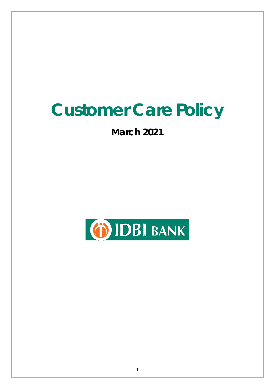# **Customer Care Policy**

## **March 2021**

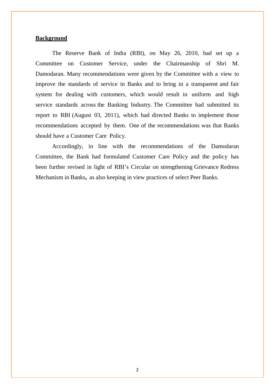#### **Background**

The Reserve Bank of India (RBI), on May 26, 2010, had set up a Committee on Customer Service, under the Chairmanship of Shri M. Damodaran. Many recommendations were given by the Committee with a view to improve the standards of service in Banks and to bring in a transparent and fair system for dealing with customers, which would result in uniform and high service standards across the Banking Industry. The Committee had submitted its report to RBI (August 03, 2011), which had directed Banks to implement those recommendations accepted by them. One of the recommendations was that Banks should have a Customer Care Policy.

Accordingly, in line with the recommendations of the Damodaran Committee, the Bank had formulated Customer Care Policy and the policy has been further revised in light of RBI's Circular on strengthening Grievance Redress Mechanism in Banks**,** as also keeping in view practices of select Peer Banks.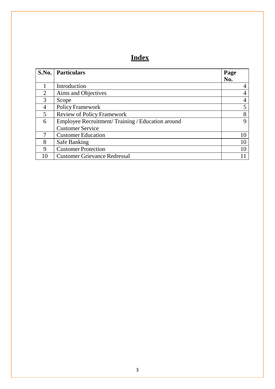### **Index**

| S.No.          | <b>Particulars</b>                               | Page        |
|----------------|--------------------------------------------------|-------------|
|                |                                                  | No.         |
|                | Introduction                                     | 4           |
| 2              | Aims and Objectives                              | 4           |
| 3              | Scope                                            | 4           |
| $\overline{4}$ | <b>Policy Framework</b>                          | 5           |
| 5              | <b>Review of Policy Framework</b>                | 8           |
| 6              | Employee Recruitment/Training / Education around | $\mathbf Q$ |
|                | <b>Customer Service</b>                          |             |
|                | <b>Customer Education</b>                        | 10          |
| 8              | Safe Banking                                     | 10          |
| 9              | <b>Customer Protection</b>                       |             |
|                | <b>Customer Grievance Redressal</b>              |             |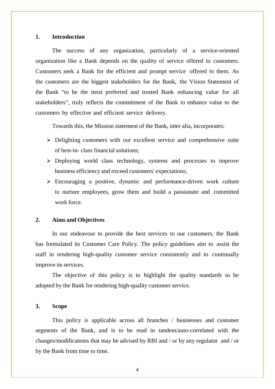#### **1. Introduction**

The success of any organization, particularly of a service-oriented organization like a Bank depends on the quality of service offered to customers. Customers seek a Bank for the efficient and prompt service offered to them. As the customers are the biggest stakeholders for the Bank, the Vision Statement of the Bank "to be the most preferred and trusted Bank enhancing value for all stakeholders", truly reflects the commitment of the Bank to enhance value to the customers by effective and efficient service delivery.

Towards this, the Mission statement of the Bank, inter alia, incorporates:

- $\triangleright$  Delighting customers with our excellent service and comprehensive suite of best-in- class financial solutions;
- Deploying world class technology, systems and processes to improve business efficiency and exceed customers' expectations;
- $\triangleright$  Encouraging a positive, dynamic and performance-driven work culture to nurture employees, grow them and build a passionate and committed work force.

#### **2. Aims and Objectives**

In our endeavour to provide the best services to our customers, the Bank has formulated its Customer Care Policy. The policy guidelines aim to assist the staff in rendering high-quality customer service consistently and to continually improve its services.

The objective of this policy is to highlight the quality standards to be adopted by the Bank for rendering high-quality customer service.

#### **3. Scope**

This policy is applicable across all branches / businesses and customer segments of the Bank, and is to be read in tandem/auto-correlated with the changes/modifications that may be advised by RBI and / or by any regulator and / or by the Bank from time to time.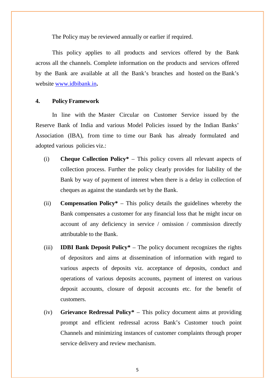The Policy may be reviewed annually or earlier if required.

This policy applies to all products and services offered by the Bank across all the channels. Complete information on the products and services offered by the Bank are available at all the Bank's branches and hosted on the Bank's website www.idbibank.in**.**

#### **4. Policy Framework**

In line with the Master Circular on Customer Service issued by the Reserve Bank of India and various Model Policies issued by the Indian Banks' Association (IBA), from time to time our Bank has already formulated and adopted various policies viz.:

- (i) **Cheque Collection Policy\*** This policy covers all relevant aspects of collection process. Further the policy clearly provides for liability of the Bank by way of payment of interest when there is a delay in collection of cheques as against the standards set by the Bank.
- (ii) **Compensation Policy\*** This policy details the guidelines whereby the Bank compensates a customer for any financial loss that he might incur on account of any deficiency in service / omission / commission directly attributable to the Bank.
- (iii) **IDBI Bank Deposit Policy\*** The policy document recognizes the rights of depositors and aims at dissemination of information with regard to various aspects of deposits viz. acceptance of deposits, conduct and operations of various deposits accounts, payment of interest on various deposit accounts, closure of deposit accounts etc. for the benefit of customers.
- (iv) **Grievance Redressal Policy\*** This policy document aims at providing prompt and efficient redressal across Bank's Customer touch point Channels and minimizing instances of customer complaints through proper service delivery and review mechanism.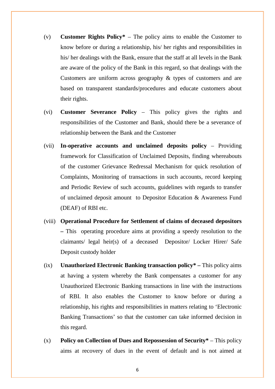- (v) **Customer Rights Policy\*** The policy aims to enable the Customer to know before or during a relationship, his/ her rights and responsibilities in his/ her dealings with the Bank, ensure that the staff at all levels in the Bank are aware of the policy of the Bank in this regard, so that dealings with the Customers are uniform across geography & types of customers and are based on transparent standards/procedures and educate customers about their rights.
- (vi) **Customer Severance Policy** This policy gives the rights and responsibilities of the Customer and Bank, should there be a severance of relationship between the Bank and the Customer
- (vii) **In-operative accounts and unclaimed deposits policy** Providing framework for Classification of Unclaimed Deposits, finding whereabouts of the customer Grievance Redressal Mechanism for quick resolution of Complaints, Monitoring of transactions in such accounts, record keeping and Periodic Review of such accounts, guidelines with regards to transfer of unclaimed deposit amount to Depositor Education & Awareness Fund (DEAF) of RBI etc.
- (viii) **Operational Procedure for Settlement of claims of deceased depositors –** This operating procedure aims at providing a speedy resolution to the claimants/ legal heir(s) of a deceased Depositor/ Locker Hirer/ Safe Deposit custody holder
- (ix) **Unauthorized Electronic Banking transaction policy\* –** This policy aims at having a system whereby the Bank compensates a customer for any Unauthorized Electronic Banking transactions in line with the instructions of RBI. It also enables the Customer to know before or during a relationship, his rights and responsibilities in matters relating to 'Electronic Banking Transactions' so that the customer can take informed decision in this regard.
- (x) **Policy on Collection of Dues and Repossession of Security\*** This policy aims at recovery of dues in the event of default and is not aimed at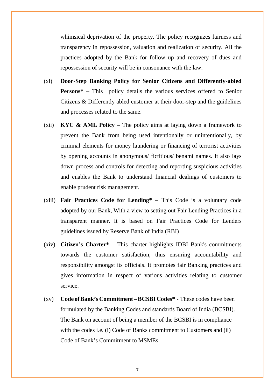whimsical deprivation of the property. The policy recognizes fairness and transparency in repossession, valuation and realization of security. All the practices adopted by the Bank for follow up and recovery of dues and repossession of security will be in consonance with the law.

- (xi) **Door-Step Banking Policy for Senior Citizens and Differently-abled Persons\* –** This policy details the various services offered to Senior Citizens & Differently abled customer at their door-step and the guidelines and processes related to the same.
- (xii) **KYC & AML Policy** The policy aims at laying down a framework to prevent the Bank from being used intentionally or unintentionally, by criminal elements for money laundering or financing of terrorist activities by opening accounts in anonymous/ fictitious/ benami names. It also lays down process and controls for detecting and reporting suspicious activities and enables the Bank to understand financial dealings of customers to enable prudent risk management.
- (xiii) **Fair Practices Code for Lending\***  This Code is a voluntary code adopted by our Bank, With a view to setting out Fair Lending Practices in a transparent manner. It is based on Fair Practices Code for Lenders guidelines issued by Reserve Bank of India (RBI)
- (xiv) **Citizen's Charter\***  This charter highlights IDBI Bank's commitments towards the customer satisfaction, thus ensuring accountability and responsibility amongst its officials. It promotes fair Banking practices and gives information in respect of various activities relating to customer service.
- (xv) **Code ofBank's Commitment –BCSBI Codes\*** These codes have been formulated by the Banking Codes and standards Board of India (BCSBI). The Bank on account of being a member of the BCSBI is in compliance with the codes i.e. (i) Code of Banks commitment to Customers and (ii) Code of Bank's Commitment to MSMEs.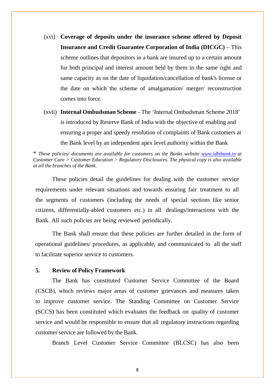- (xvi) **Coverage of deposits under the insurance scheme offered by Deposit Insurance and Credit Guarantee Corporation of India (DICGC)** – This scheme outlines that depositors in a bank are insured up to a certain amount for both principal and interest amount held by them in the same right and same capacity as on the date of liquidation/cancellation of bank's license or the date on which the scheme of amalgamation/ merger/ reconstruction comes into force.
- (xvii) **Internal Ombudsman Scheme** The 'Internal Ombudsman Scheme 2018' is introduced by Reserve Bank of India with the objective of enabling and ensuring a proper and speedy resolution of complaints of Bank customers at the Bank level by an independent apex level authority within the Bank

\* *These policies/ documents are available for customers on the Banks website [www.idbibank.in](http://www.idbibank.in/) at Customer Care > Customer Education > Regulatory Disclosures. The physical copy is also available at all the branches of the Bank.*

These policies detail the guidelines for dealing with the customer service requirements under relevant situations and towards ensuring fair treatment to all the segments of customers (including the needs of special sections like senior citizens, differentially-abled customers etc.) in all dealings/interactions with the Bank. All such policies are being reviewed periodically.

The Bank shall ensure that these policies are further detailed in the form of operational guidelines/ procedures, as applicable, and communicated to all the staff to facilitate superior service to customers.

#### **5. Review of Policy Framework**

The Bank has constituted Customer Service Committee of the Board (CSCB), which reviews major areas of customer grievances and measures taken to improve customer service. The Standing Committee on Customer Service (SCCS) has been constituted which evaluates the feedback on quality of customer service and would be responsible to ensure that all regulatory instructions regarding customer service are followed by the Bank.

Branch Level Customer Service Committee (BLCSC) has also been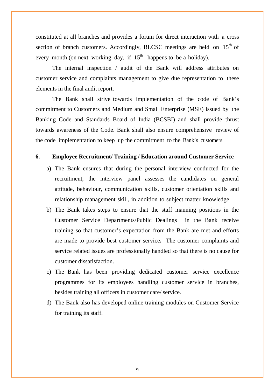constituted at all branches and provides a forum for direct interaction with a cross section of branch customers. Accordingly, BLCSC meetings are held on 15<sup>th</sup> of every month (on next working day, if  $15<sup>th</sup>$  happens to be a holiday).

The internal inspection / audit of the Bank will address attributes on customer service and complaints management to give due representation to these elements in the final audit report.

The Bank shall strive towards implementation of the code of Bank's commitment to Customers and Medium and Small Enterprise (MSE) issued by the Banking Code and Standards Board of India (BCSBI) and shall provide thrust towards awareness of the Code. Bank shall also ensure comprehensive review of the code implementation to keep up the commitment to the Bank's customers.

#### **6. Employee Recruitment/ Training / Education around Customer Service**

- a) The Bank ensures that during the personal interview conducted for the recruitment, the interview panel assesses the candidates on general attitude, behaviour, communication skills, customer orientation skills and relationship management skill, in addition to subject matter knowledge.
- b) The Bank takes steps to ensure that the staff manning positions in the Customer Service Departments/Public Dealings in the Bank receive training so that customer's expectation from the Bank are met and efforts are made to provide best customer service**.** The customer complaints and service related issues are professionally handled so that there is no cause for customer dissatisfaction.
- c) The Bank has been providing dedicated customer service excellence programmes for its employees handling customer service in branches, besides training all officers in customer care/ service.
- d) The Bank also has developed online training modules on Customer Service for training its staff.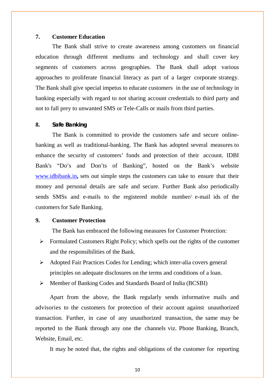#### **7. Customer Education**

The Bank shall strive to create awareness among customers on financial education through different mediums and technology and shall cover key segments of customers across geographies. The Bank shall adopt various approaches to proliferate financial literacy as part of a larger corporate strategy. The Bank shall give special impetus to educate customers in the use of technology in banking especially with regard to not sharing account credentials to third party and not to fall prey to unwanted SMS or Tele-Calls or mails from third parties.

#### **8. Safe Banking**

The Bank is committed to provide the customers safe and secure onlinebanking as well as traditional-banking. The Bank has adopted several measures to enhance the security of customers' funds and protection of their account. IDBI Bank's "Do's and Don'ts of Banking", hosted on the Bank's website www.idbibank.in**,** sets out simple steps the customers can take to ensure that their money and personal details are safe and secure. Further Bank also periodically sends SMSs and e-mails to the registered mobile number/ e-mail ids of the customers for Safe Banking.

#### **9. Customer Protection**

The Bank has embraced the following measures for Customer Protection:

- $\triangleright$  Formulated Customers Right Policy; which spells out the rights of the customer and the responsibilities of the Bank.
- Adopted Fair Practices Codes for Lending; which inter-alia covers general principles on adequate disclosures on the terms and conditions of a loan.
- Member of Banking Codes and Standards Board of India (BCSBI)

Apart from the above, the Bank regularly sends informative mails and advisories to the customers for protection of their account against unauthorized transaction. Further, in case of any unauthorized transaction, the same may be reported to the Bank through any one the channels viz. Phone Banking, Branch, Website, Email, etc.

It may be noted that, the rights and obligations of the customer for reporting